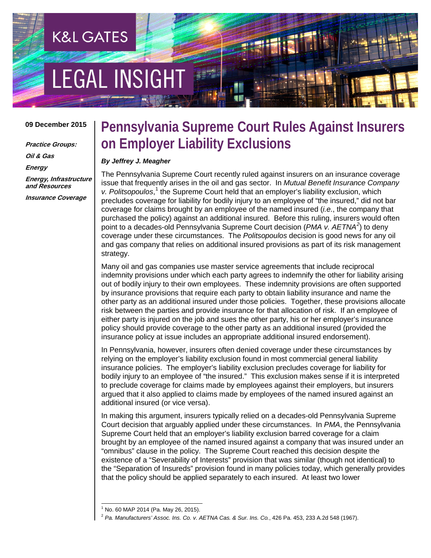# **EGAL INSIGHT**

**K&L GATES** 

#### **09 December 2015**

**Practice Groups: Oil & Gas Energy Energy, Infrastructure and Resources Insurance Coverage**

### **Pennsylvania Supreme Court Rules Against Insurers on Employer Liability Exclusions**

#### *By Jeffrey J. Meagher*

The Pennsylvania Supreme Court recently ruled against insurers on an insurance coverage issue that frequently arises in the oil and gas sector. In *Mutual Benefit Insurance Company*  v. Politsopoulos,<sup>[1](#page-0-0)</sup> the Supreme Court held that an employer's liability exclusion, which precludes coverage for liability for bodily injury to an employee of "the insured," did not bar coverage for claims brought by an employee of the named insured (*i.e.*, the company that purchased the policy) against an additional insured. Before this ruling, insurers would often point to a decades-old Pennsylvania Supreme Court decision (*PMA v. AETNA[2](#page-0-1)* ) to deny coverage under these circumstances. The *Politsopoulos* decision is good news for any oil and gas company that relies on additional insured provisions as part of its risk management strategy.

Many oil and gas companies use master service agreements that include reciprocal indemnity provisions under which each party agrees to indemnify the other for liability arising out of bodily injury to their own employees. These indemnity provisions are often supported by insurance provisions that require each party to obtain liability insurance and name the other party as an additional insured under those policies. Together, these provisions allocate risk between the parties and provide insurance for that allocation of risk. If an employee of either party is injured on the job and sues the other party, his or her employer's insurance policy should provide coverage to the other party as an additional insured (provided the insurance policy at issue includes an appropriate additional insured endorsement).

In Pennsylvania, however, insurers often denied coverage under these circumstances by relying on the employer's liability exclusion found in most commercial general liability insurance policies. The employer's liability exclusion precludes coverage for liability for bodily injury to an employee of "the insured." This exclusion makes sense if it is interpreted to preclude coverage for claims made by employees against their employers, but insurers argued that it also applied to claims made by employees of the named insured against an additional insured (or vice versa).

In making this argument, insurers typically relied on a decades-old Pennsylvania Supreme Court decision that arguably applied under these circumstances. In *PMA*, the Pennsylvania Supreme Court held that an employer's liability exclusion barred coverage for a claim brought by an employee of the named insured against a company that was insured under an "omnibus" clause in the policy. The Supreme Court reached this decision despite the existence of a "Severability of Interests" provision that was similar (though not identical) to the "Separation of Insureds" provision found in many policies today, which generally provides that the policy should be applied separately to each insured. At least two lower

 <sup>1</sup> No. 60 MAP 2014 (Pa. May 26, 2015).

<span id="page-0-1"></span><span id="page-0-0"></span><sup>2</sup> *Pa. Manufacturers' Assoc. Ins. Co. v. AETNA Cas. & Sur. Ins. Co.*, 426 Pa. 453, 233 A.2d 548 (1967).